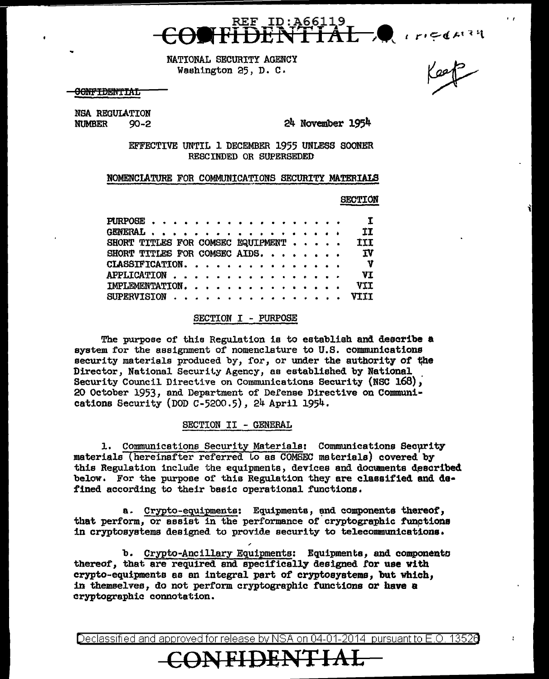

NATIONAL SECURITY AGENCY Washington 25, D. c.

<del>OONFIDENTIAL</del>

NSA REGULATION<br>NUMBER 90-2

NUMBER 90-2 24 November 1954

EFFECTIVE UNTIL 1 DECEMBER 1955 UNLESS SOONER RESCINDED OR SUPERSEDED

NOMENCJATURE FOR COMMUNICATIONS SECURITY MATERIALS

SECTION

'I

Keep

|  |  |  |  |  |  |  |  |  |  | $\mathbf{r}$                                                                                                                                           |
|--|--|--|--|--|--|--|--|--|--|--------------------------------------------------------------------------------------------------------------------------------------------------------|
|  |  |  |  |  |  |  |  |  |  | ΙI                                                                                                                                                     |
|  |  |  |  |  |  |  |  |  |  | <b>III</b>                                                                                                                                             |
|  |  |  |  |  |  |  |  |  |  | <b>IV</b>                                                                                                                                              |
|  |  |  |  |  |  |  |  |  |  | $\mathbf{v}$                                                                                                                                           |
|  |  |  |  |  |  |  |  |  |  | VI.                                                                                                                                                    |
|  |  |  |  |  |  |  |  |  |  | VII                                                                                                                                                    |
|  |  |  |  |  |  |  |  |  |  | VT TT                                                                                                                                                  |
|  |  |  |  |  |  |  |  |  |  | PURPOSE<br>GENERAL.<br>SHORT TITLES FOR COMSEC EQUIPMENT<br>SHORT TITLES FOR COMSEC AIDS.<br>CLASSIFICATION.<br>IMPLEMENTATION<br>SUPERVISION $\cdots$ |

#### SECTION I - PURPOSE

The purpose of this Regulation is to establish and describe a system for the assignment of nomenclature to U.S. communications security materials produced by, for, or under the authority of the Director, National Security Agency, as established by National Security Council Directive on Communications Security (NSC 168), 20 October 1953, and Department of Defense Directive on Communications Security (DOD c-5200.5), 24 April 1954.

#### SECTION II - GENERAL

1. Communications Security Materials: Communications Security materials (hereinafter referred to as COMSEC materials) covered by this Regulation include the equipments, devices and documents described below. For the purpose of this Regulation they are classified and defined according to their basic operational functions.

a. Crypto-equipments: Equipments, and components thereof, that perform, or assist in the performance of cryptographic functions in cryptosystems designed to provide security to teleconmunications.

b. Crypto-Ancillary Equipments: Equipments, and components thereof, that are required and specifically designed *tor* use with crypto-equipments as an integral part of cryptosysteme, but which, in themselves, do not perform cryptographic functions or have a cryptographic connotation.

**CONFIDENTJ2A-=L** 

Declassified and approved for release by NSA on 04-01-2014 pursuantto E.O. 1352a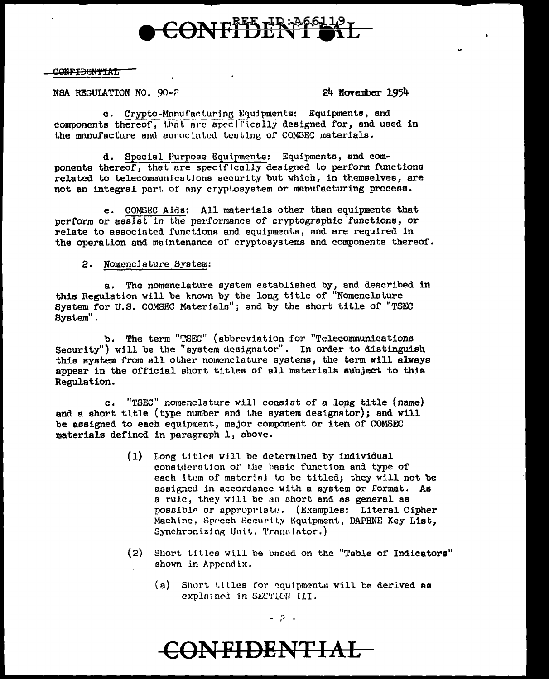

#### **CONFIDENTIAL**

#### NSA REGULATION NO. 90-2

24 November 1954

c. Crypto-Manufacturing Equipments: Equipments, and components thereof, that are specifically designed for, and used in the manufacture and annociated testing of COMSEC materials.

d. Special Purpose Equipments: Equipments, and components thereof, that are specifically designed to perform functions related to telecommunications security but which, in themselves, are not an integral part of any cryptosystem or manufacturing process.

e. COMSEC Alds: All materials other than equipments that perform or assist in the performance of cryptographic functions, or relate to associated functions and equipments, and are required in the operation and maintenance of cryptosystems and components thereof.

#### 2. Nomenclature System:

a. The nomenclature system established by, and described in this Regulation will be known by the long title of "Nomenclature System for U.S. COMSEC Materials"; and by the short title of "TSEC System".

b. The term "TSEC" (abbreviation for "Telecommunications Security") will be the "system designator". In order to distinguish this system from all other nomenclature systems, the term will always appear in the official short titles of all materials subject to this Regulation.

c. "TSEC" nomenclature will consist of a long title (name) and a short title (type number and the system designator); and will be assigned to each equipment, major component or item of COMSEC materials defined in paragraph 1, above.

- (1) Long titles will be determined by individual consideration of the basic function and type of each item of material to be titled; they will not be assigned in accordance with a system or format. As a rule, they will be as short and as general as possible or appropriate. (Examples: Literal Cipher Machine, Speech Scourity Equipment, DAPHNE Key List, Synchronizing Unit, Translator.)
- (2) Short titles will be based on the "Table of Indicators" shown in Appendix.
	- (a) Short titles for equipments will be derived as explained in SECTION III.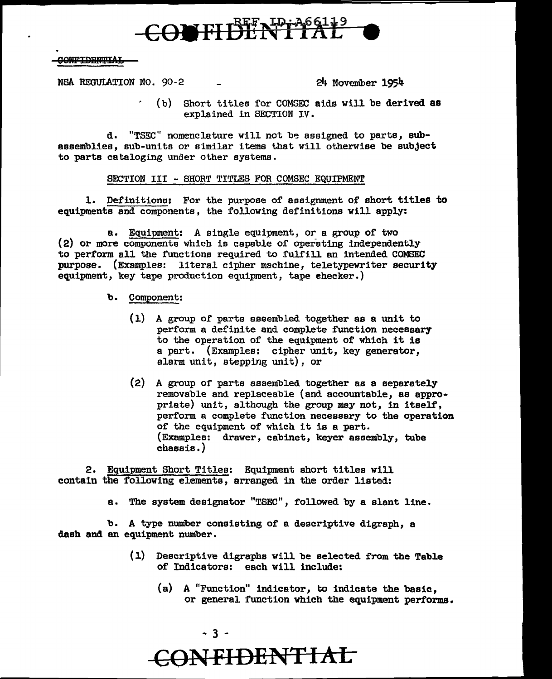# CONFIDENTIAL

#### **CONFIDENTIAL**

NSA REGUIATION NO. 90-2 - 24 November 1954

(b) Short titles for COMSEC aids will be derived aa explained in SECTION IV.

d. "TSEC" nomenclature will not be assigned to parts, sub-<br>assemblies, sub-units or similar items that will otherwise be subject to parts cataloging under other systems.

#### SECTION III - SHORT TITLES FOR COMSEC EQUIPMENT

1. Definitions: For the purpose of assignment of short titles to equipments and components, the following definitions will apply:

a. Equipment: A single equipment, or a group of two (2) or more components which is capable of operating independently to perform all the functions required to fulfill an intended COMSEC purpose. (Examples: literal cipher machine, teletypewriter security equipment, key tape production equipment, tape ehecker.)

#### b. Component:

- $(1)$  A group of parts assembled together as a unit to perform a definite and complete function necessary to the operation of the equipment of which it is a part. (Examples: cipher unit, key generator, alarm unit, stepping unit), or
- (2) A group of parts assembled together as a separately removable and replaceable (and accountable, as appropriate) unit, although the group may not, in itself, perform a complete function necessary to the operation of the equipment of which it is a part. (Examples: drawer, cabinet, keyer assembly, tube chassis.)

2. Equipment Short Titles: Equipment short titles will contain the following elements, arranged in the order listed:

a. The system designator "TSEC", followed by a slant line.

b. A type number consisting of a descriptive digraph, a dash and an equipment number.

- (1) Descriptive digraphs will be selected from the Table of Indicators: each will include:
	- {a) A "Function" indicator, to indicate the basic, or general function which the equipment performs.

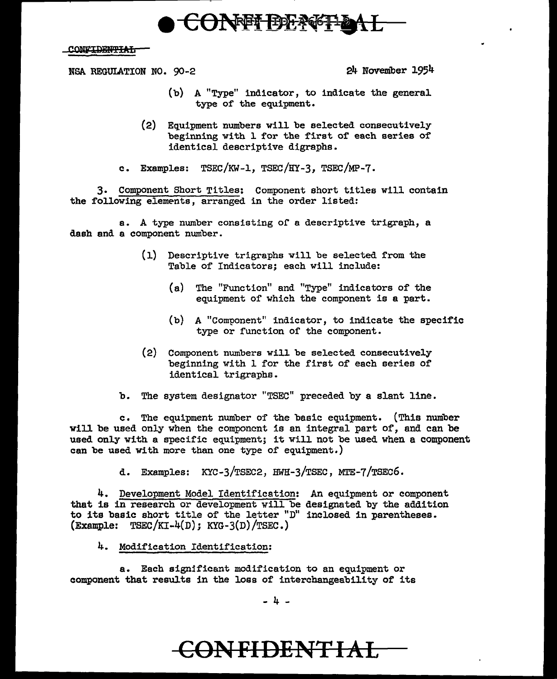# CONFF BENGFL

### **CONFIDENTIAL**

NSA REGUIATION NO. 90-2 24 November 1954

- (b) A "Type" indicator, to indicate the general type of the equipment.
- (2) Equipment numbers will be selected consecutively beginning with l for the first of each series of identical descriptive digraphs.

c. Examples: TSEC/KW-1, TSEC/HY-3, TSEC/MP-7.

3. Component Short Titles: Component short titles will contain the following elements, arranged in the order listed:

a. A type number consisting or a descriptive trigraph, a dash and a component number.

- (1) Descriptive trigraphs will be selected from the Table of Indicators; each will include:
	- (a) The "Function" and "Type" indicators of the equipment of which the component is a part.
	- (b) A "Component" indicator, to indicate the specific type or function of the component.
- (2) Component numbers will be selected consecutively beginning with 1 for the first of each series of identical trigraphs.
- b. The system designator "TSEC" preceded by a slant line.

c. The equipment number of the basic equipment. (This number will be used only when the component is an integral part of, and can be used only with a specific equipment; it will not be used when a component can be used with more than one type of equipment.)

d. Examples: KYC-3/TSEC2, HWH-3/TSEC, MTE-7 /TSEC6.

4. Development Model Identification: An equipment or component that is in research or development will be designated by the addition to its basic short title of the letter "D" inclosed in parentheses. (Example:  $TSEC/KI-4(D); KYG-3(D)/TSEC.)$ 

4. Modification Identification:

a. Each significant modification to an equipment or component that results in the loss of interchangeability of its

- 4 -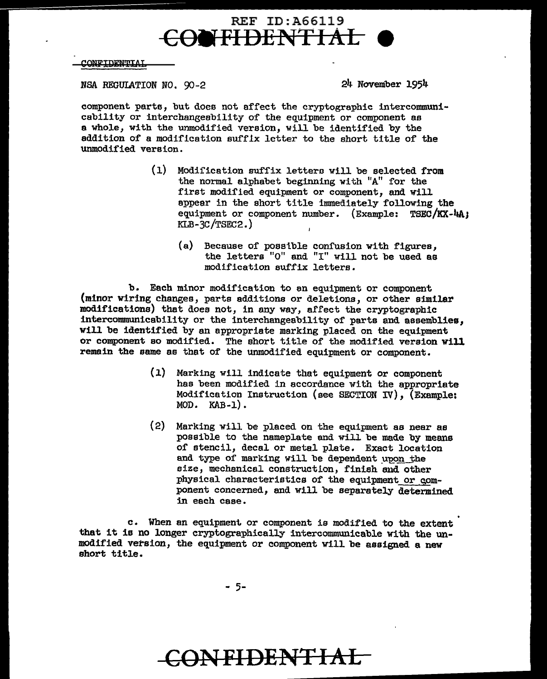### REF ID:A66119 CONFIDENTIAL

#### **CONFIDENTIAI**

NSA REGULATION NO. 90-2 24 November 1954

component parts, but does not affect the cryptographic intercommunicability or interchangeability of the equipment or component as e whole, with the unmodified version, will be identified by the addition of a modification suffix letter to the short title of the unmodified version.

- (1) Modification suffix lettera will be selected from the normal alphabet beginning with "A" for the first modified equipment or component, and will appear in the short title immediately following the equipment or component number.  $(Example: TSEC/KX-4A)$ KLB-3C /TSEC2.)
	- (a) Because of poselble confusion with figures, the letters "O" and "I" will not be used as modification suffix letters.

b. Each minor modification to en equipment or component (minor wiring changes, parts additions or deletions, or other similar modifications) that does not, in any way, affect the cryptographic intercommunicability or the interchangeability of parts and assemblies, will be identified by an appropriate marking placed on the equipment or component so modified. The short title of the modified version will remain the same as that of the unmodified equipment or component.

- (l) Marking will indicate that equipment or component has been modified in accordance with the appropriate Modification Instruction (see SECTION IV), (Example: MOD. KAB-1).
- (2) Marking will be placed on the equipment as near as possible to the nameplate and will be made by means of stencil, decal or metal plate. Exact location and type of marking will be dependent upon the size, mechanical construction, finish and other physical characteristics of the equipment or component concerned, and will be separately determined in each case.

c. When an equipment or component is modified to the extent that it is no longer cryptographically intercommunicable with the unmodified version, the equipment or component will be assigned a new short title.

- 5-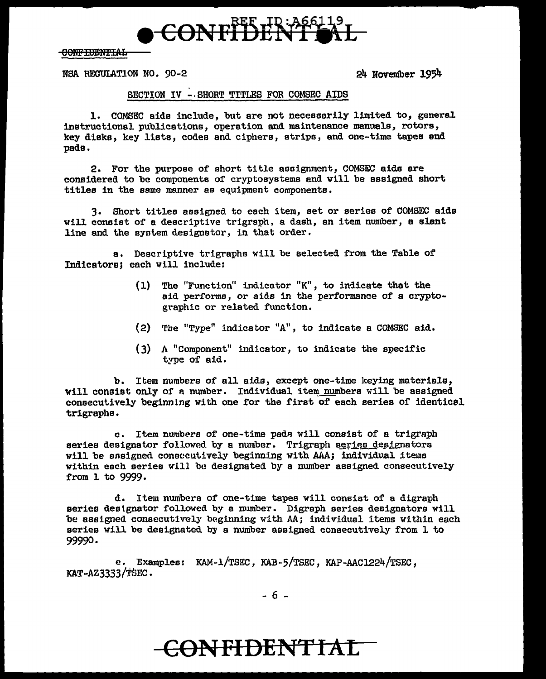

**CONFIDENTIAL** 

NBA REGUIATION NO. 90-2 24 November 1954

### SECTION IV -.SHORT TITLES FOR COMSEC AIDS

1. COMSEC aide include, but are not necessarily limited to, general instructional publications, operation and maintenance manuals, rotors, key disks, key lists, codes and ciphers, strips, and one-time tapes end pads.

2. For the purpose of short title assignment, COMSEC aids are considered to be components of cryptosystems and will be assigned short titles in the same manner as equipment components.

3. Short titles assigned to each item, set or series of COMSEC aids will consist of a descriptive trigraph, a dash, an item nuniber, a slant line and the syntem designator, in that order.

a. Descriptive trigraphs will be selected from the Table of Indicators; each will include:

- (1) The "Function" indicator "K", to indicate that the aid per£orms, or aids in the performance of a cryptographic or related function.
- (2) The "Type" indicator "A", to indicate a COMSEC aid.
- (3) A "Component" indicator, to indicate the specific type of aid.

b. Item numbers of all aids, except one-time keying materials, will consist only of a number. Individual item numbers will be assigned consecutively beginning with one £or the first of each aeries of identicel trigraphe.

c. Item numbers of one-time pads will consist of a trigraph series designator followed by a number. Trigraph series designators will be ansigned consecutively beginning with AAA; individual items within each series will be designated by a number assigned consecutively from 1 to 9999.

d. Item numbers of one-time tapes will consist of a digraph series deslgnator followed by a number. Digraph series designators will be assigned consecutively beginning with AA; individual items within each series will be designated by a number assigned consecutively from l to 99990.

e. Examples: KAM-1/TSEC, KAB-5/TSEC, KAP-AAC1224/TSEC, KAT-AZ3333/TSEC.

- 6 -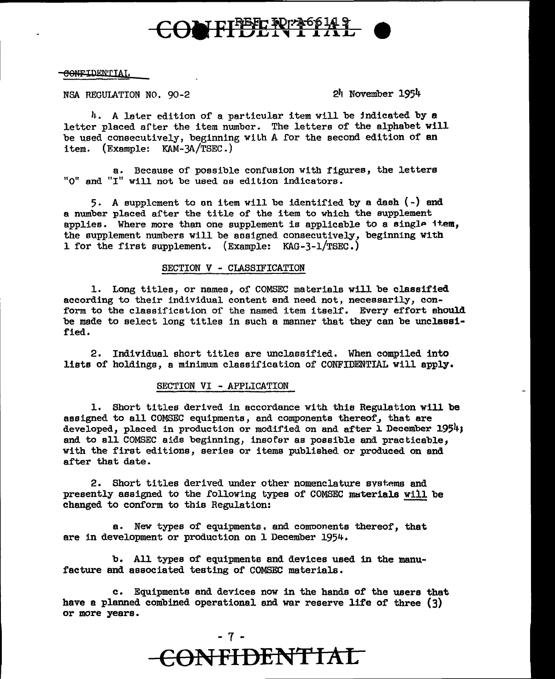

#### CONFIDENTIAI,

NSA REGULATION NO. 90-2 2'1 November 1954

*l*. A later edition of a particular item will be indicated by a letter placed after the item number. The letters of the alphabet will be used consecutively, beginning with A for the second edition of an item. (Example: KAM-3A/TSEC.)

a. Because of possible confusion with figures, the letters "O" and "I" will not be used as edition indicators.

5. A supplement to on item will be identified by a dash(-) and a number placed after the title of the item to which the supplement applies. Where more than one supplement is applicable to a single item, the supplement numbers will be aosigned consecutively, beginning with 1 for the first supplement. (Example: KAG-3-1/TSEC.)

#### SECTION V - CLASSIFICATION

1. Long titles, or names, of COMSEC materials will be classified according to their individual content and need not, necessarily, conform to the classification of the named item itself. Every effort should be made to select long titles in such a manner that they can be unclassified.

2. Individual short titles are unclassified. When compiled into lists of holdings, a minimum classification of CONFIDENTIAL will apply.

#### SECTION VI - APPLICATION

1. Short titles derived in accordance with this Regulation will be assigned to all COMSEC equipments, and components thereof, that are developed, placed in production or modified on and after 1 December 1954; and to all COMSEC aids beginning, insofar as possible and practicable, with the first editions, series or items published or produced on and after that date.

2. Short titles derived under other nomenclature systems and presently assigned to the following types of COMSEC materials will be changed to conform to this Regulation:

a. New types of equipments, and comoonents thereof, that are in development or production on 1 December 1954.

b. All types of equipments and devices used in the manufacture and associated testing of COMSEC materials.

c. Equipments and devices now in the hands of the users that have a planned combined operational and war reserve life of three (3) or more years.

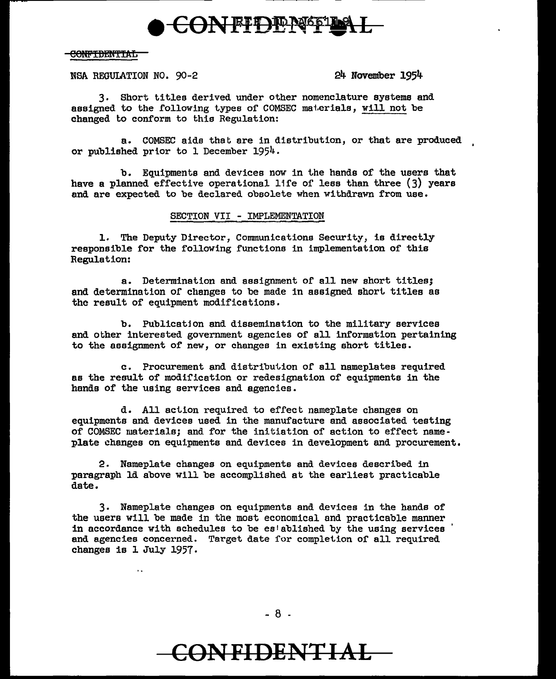

### C<del>ONFTDENTTAL</del>

NSA REGULATION NO.  $90-2$  24 November 1954

3. Short titles derived under other nomenclature systems and assigned to the following types of COMSEC materials, will not be changed to conform to this Regulation:

a. COMSEC aids that are in distribution, or that are produced , or published prior to l December 1954.

b. Equipments and devices now in the hands of the users that have a planned effective operational life of less than three (3) years and are expected to be declared obsolete when withdrawn from use.

### SECTION VII - IMPLEMENTATION

1. The Deputy Director, Communications Security, is directly responsible for the following functions in implementation of this Regulation:

a. Determination and assignment of all new short titles; and determination or changes to be made in assigned short titles as the result of equipment modifications.

b. Publication end dissemination to the military services and other interested government agencies of all information pertaining to the assignment of new, or changes in existing short titles.

c. Procurement end distribution of all nameplates required as the result of modification or redesignation of equipments in the hands or the using services end agencies.

d. All action required to effect nameplate changes on equipments and devices used in the manufacture and associated testing of COMSEC materials; and for the initiation of action to effect nameplate changes on equipments and devices in development and procurement.

2. Nameplate changes on equipments and devices described in paragraph ld above will be accomplished at the earliest practicable date.

3. Nameplate changes on equipments and devices in the hands of the users will be made in the most economical and practicable manner in accordance with schedules to be established by the using services and agencies concerned. Target date for completion of all required changes is 1 July 1957.

- 8 -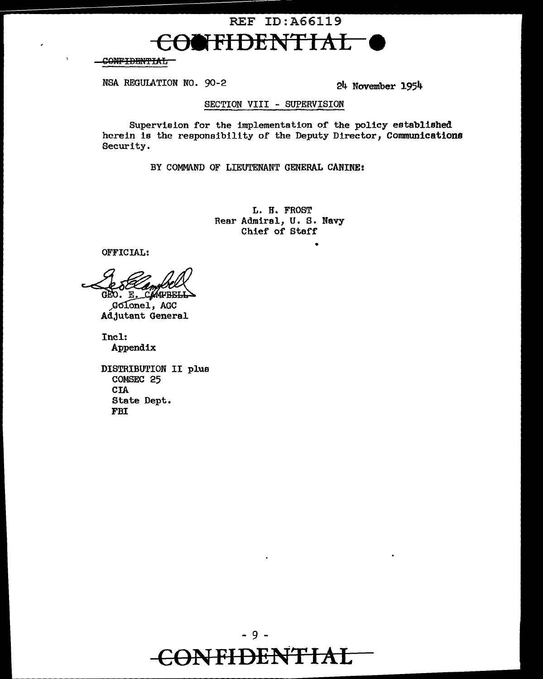

<del>CONFIDENTIAL</del>

NSA REGULATION NO. 90-2

24 November 1954

### SECTION VIII - SUPERVISION

Supervision for the implementation of the policy established herein is the responsibility of the Deputy Director, Communications Security.

BY COMMAND OF LIEUTENANT GENERAL CANINE:

L. H. FROST Rear Admiral, U. S. Navy Chief of Staff

OFFICIAL:

GEO. E. CAMPBELL

Golonel, AGC Adjutant General

Incl: Appendix

DISTRIBUTION II plus COMSEC 25 **CIA** State Dept. **FBI**